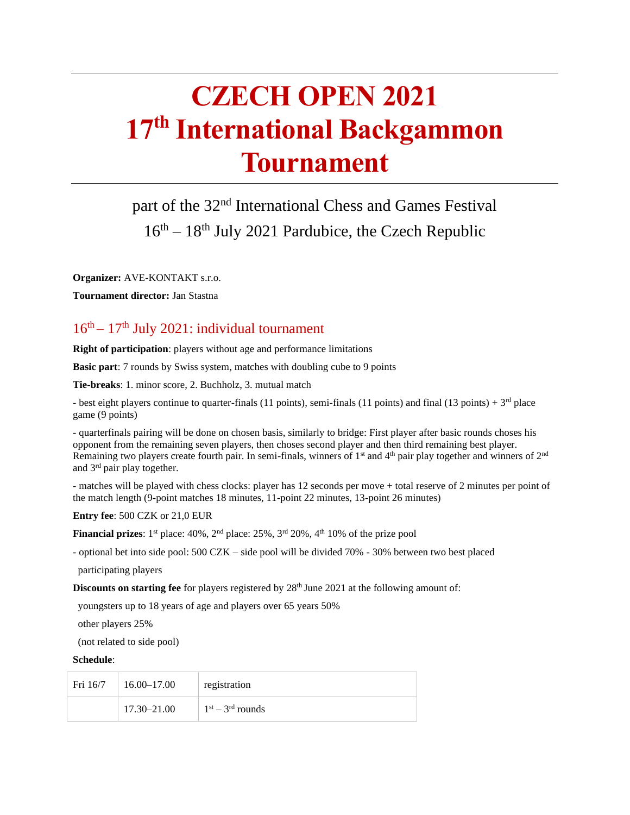# **CZECH OPEN 2021 17th International Backgammon Tournament**

# part of the 32<sup>nd</sup> International Chess and Games Festival 16<sup>th</sup> – 18<sup>th</sup> July 2021 Pardubice, the Czech Republic

**Organizer:** AVE-KONTAKT s.r.o.

**Tournament director:** Jan Stastna

#### $16<sup>th</sup> - 17<sup>th</sup>$  July 2021: individual tournament

**Right of participation**: players without age and performance limitations

**Basic part**: 7 rounds by Swiss system, matches with doubling cube to 9 points

**Tie-breaks**: 1. minor score, 2. Buchholz, 3. mutual match

- best eight players continue to quarter-finals (11 points), semi-finals (11 points) and final (13 points) +  $3<sup>rd</sup>$  place game (9 points)

- quarterfinals pairing will be done on chosen basis, similarly to bridge: First player after basic rounds choses his opponent from the remaining seven players, then choses second player and then third remaining best player. Remaining two players create fourth pair. In semi-finals, winners of  $1<sup>st</sup>$  and  $4<sup>th</sup>$  pair play together and winners of  $2<sup>nd</sup>$ and  $3<sup>rd</sup>$  pair play together.

- matches will be played with chess clocks: player has 12 seconds per move + total reserve of 2 minutes per point of the match length (9-point matches 18 minutes, 11-point 22 minutes, 13-point 26 minutes)

**Entry fee**: 500 CZK or 21,0 EUR

**Financial prizes**:  $1<sup>st</sup>$  place:  $40\%$ ,  $2<sup>nd</sup>$  place:  $25\%$ ,  $3<sup>rd</sup>$   $20\%$ ,  $4<sup>th</sup>$   $10\%$  of the prize pool

- optional bet into side pool: 500 CZK – side pool will be divided 70% - 30% between two best placed

participating players

**Discounts on starting fee** for players registered by 28<sup>th</sup> June 2021 at the following amount of:

youngsters up to 18 years of age and players over 65 years 50%

other players 25%

(not related to side pool)

#### **Schedule**:

| Fri 16/7 | $16.00 - 17.00$ | registration       |
|----------|-----------------|--------------------|
|          | 17.30–21.00     | $1st - 3rd$ rounds |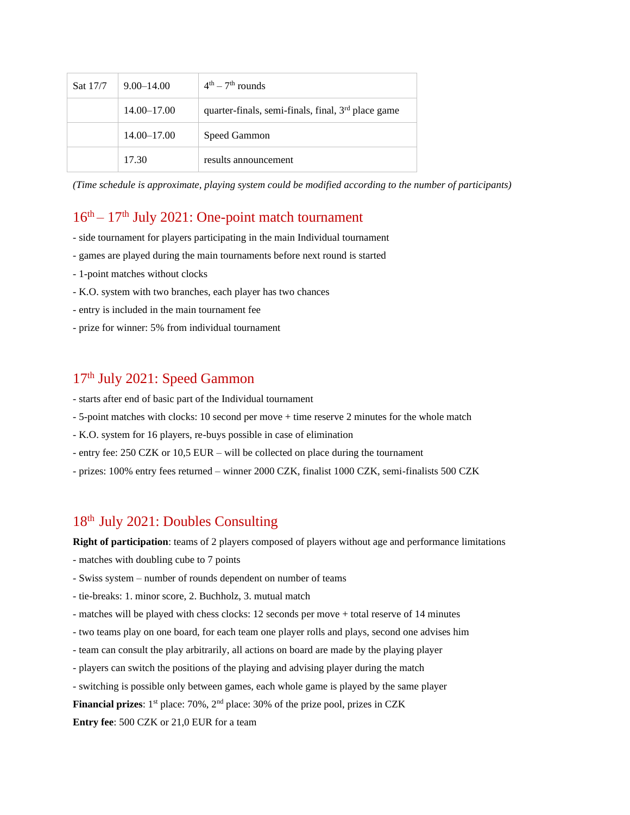| Sat 17/7 | $9.00 - 14.00$  | $4th - 7th$ rounds                                             |
|----------|-----------------|----------------------------------------------------------------|
|          | $14.00 - 17.00$ | quarter-finals, semi-finals, final, 3 <sup>rd</sup> place game |
|          | $14.00 - 17.00$ | Speed Gammon                                                   |
|          | 17.30           | results announcement                                           |

*(Time schedule is approximate, playing system could be modified according to the number of participants)*

### $16<sup>th</sup> - 17<sup>th</sup>$  July 2021: One-point match tournament

- side tournament for players participating in the main Individual tournament
- games are played during the main tournaments before next round is started
- 1-point matches without clocks
- K.O. system with two branches, each player has two chances
- entry is included in the main tournament fee
- prize for winner: 5% from individual tournament

#### 17th July 2021: Speed Gammon

- starts after end of basic part of the Individual tournament
- 5-point matches with clocks: 10 second per move + time reserve 2 minutes for the whole match
- K.O. system for 16 players, re-buys possible in case of elimination
- entry fee: 250 CZK or 10,5 EUR will be collected on place during the tournament
- prizes: 100% entry fees returned winner 2000 CZK, finalist 1000 CZK, semi-finalists 500 CZK

#### 18th July 2021: Doubles Consulting

**Right of participation**: teams of 2 players composed of players without age and performance limitations

- matches with doubling cube to 7 points
- Swiss system number of rounds dependent on number of teams
- tie-breaks: 1. minor score, 2. Buchholz, 3. mutual match
- matches will be played with chess clocks: 12 seconds per move + total reserve of 14 minutes
- two teams play on one board, for each team one player rolls and plays, second one advises him
- team can consult the play arbitrarily, all actions on board are made by the playing player
- players can switch the positions of the playing and advising player during the match
- switching is possible only between games, each whole game is played by the same player

**Financial prizes**: 1<sup>st</sup> place: 70%, 2<sup>nd</sup> place: 30% of the prize pool, prizes in CZK

**Entry fee**: 500 CZK or 21,0 EUR for a team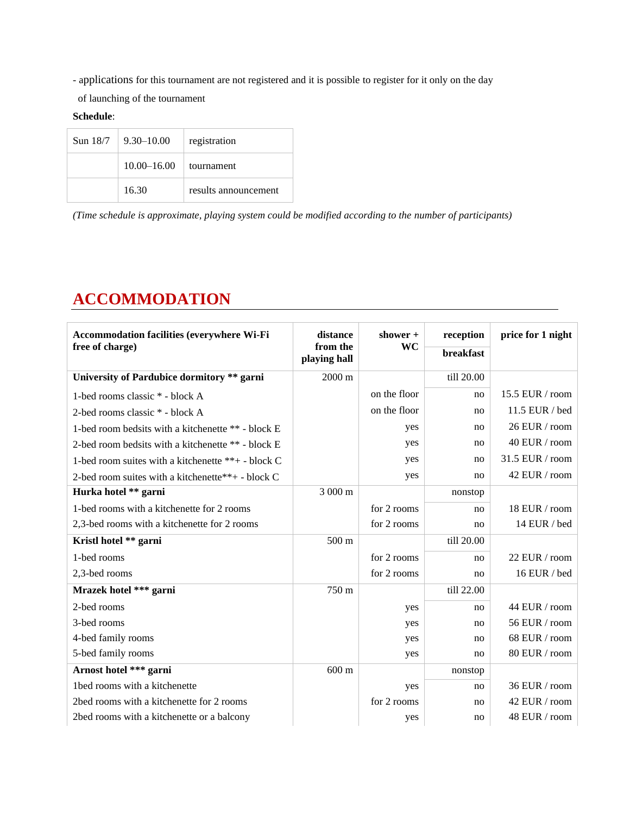- applications for this tournament are not registered and it is possible to register for it only on the day

of launching of the tournament

**Schedule**:

| Sun $18/7$   9.30–10.00 | registration         |
|-------------------------|----------------------|
| $10.00 - 16.00$         | tournament           |
| 16.30                   | results announcement |

*(Time schedule is approximate, playing system could be modified according to the number of participants)*

# **ACCOMMODATION**

| <b>Accommodation facilities (everywhere Wi-Fi</b><br>free of charge) | distance<br>from the<br>playing hall | shower $+$<br>WC | reception<br>breakfast | price for 1 night |
|----------------------------------------------------------------------|--------------------------------------|------------------|------------------------|-------------------|
| University of Pardubice dormitory ** garni                           | 2000 m                               |                  | till 20.00             |                   |
| 1-bed rooms classic * - block A                                      |                                      | on the floor     | no                     | 15.5 EUR / $room$ |
| 2-bed rooms classic * - block A                                      |                                      | on the floor     | no                     | 11.5 EUR / bed    |
| 1-bed room bedsits with a kitchenette ** - block E                   |                                      | yes              | no                     | 26 EUR / room     |
| 2-bed room bedsits with a kitchenette ** - block E                   |                                      | yes              | no                     | 40 EUR / room     |
| 1-bed room suites with a kitchenette **+ - block C                   |                                      | yes              | no                     | 31.5 EUR / room   |
| 2-bed room suites with a kitchenette**+ - block C                    |                                      | yes              | no                     | 42 EUR / room     |
| Hurka hotel ** garni                                                 | 3 000 m                              |                  | nonstop                |                   |
| 1-bed rooms with a kitchenette for 2 rooms                           |                                      | for 2 rooms      | no                     | 18 EUR / room     |
| 2,3-bed rooms with a kitchenette for 2 rooms                         |                                      | for 2 rooms      | no                     | 14 EUR / bed      |
| Kristl hotel ** garni                                                | $500 \text{ m}$                      |                  | till 20.00             |                   |
| 1-bed rooms                                                          |                                      | for 2 rooms      | no                     | 22 EUR / room     |
| 2,3-bed rooms                                                        |                                      | for 2 rooms      | no                     | 16 EUR / bed      |
| Mrazek hotel *** garni                                               | 750 m                                |                  | till 22.00             |                   |
| 2-bed rooms                                                          |                                      | yes              | no                     | 44 EUR / room     |
| 3-bed rooms                                                          |                                      | yes              | no                     | 56 EUR / room     |
| 4-bed family rooms                                                   |                                      | yes              | no                     | 68 EUR / room     |
| 5-bed family rooms                                                   |                                      | yes              | no                     | 80 EUR / room     |
| Arnost hotel *** garni                                               | $600 \text{ m}$                      |                  | nonstop                |                   |
| 1bed rooms with a kitchenette                                        |                                      | yes              | no                     | 36 EUR / room     |
| 2bed rooms with a kitchenette for 2 rooms                            |                                      | for 2 rooms      | no                     | 42 EUR / room     |
| 2bed rooms with a kitchenette or a balcony                           |                                      | yes              | no                     | 48 EUR / room     |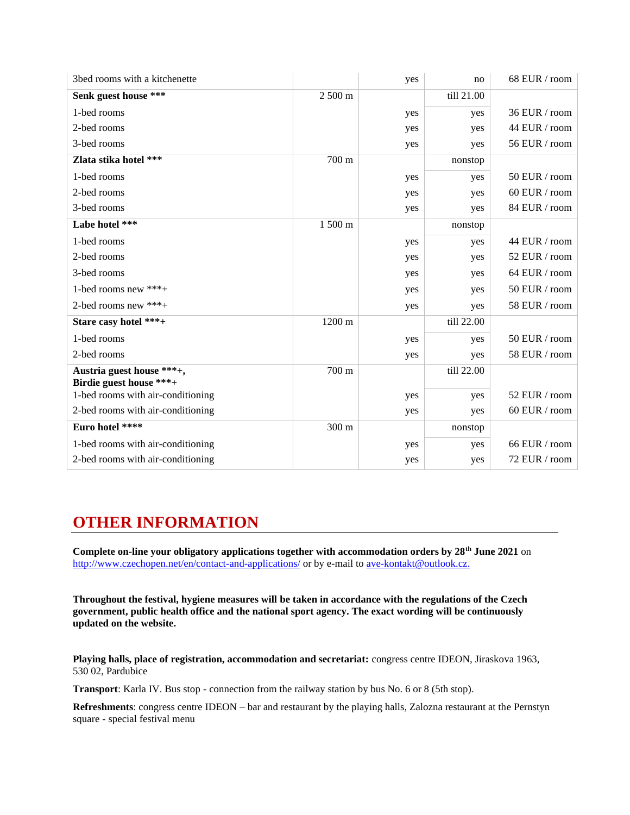| 3bed rooms with a kitchenette                        |                  | yes | no         | 68 EUR / room |
|------------------------------------------------------|------------------|-----|------------|---------------|
| Senk guest house ***                                 | 2 500 m          |     | till 21.00 |               |
| 1-bed rooms                                          |                  | yes | yes        | 36 EUR / room |
| 2-bed rooms                                          |                  | yes | yes        | 44 EUR / room |
| 3-bed rooms                                          |                  | yes | yes        | 56 EUR / room |
| Zlata stika hotel ***                                | 700 m            |     | nonstop    |               |
| 1-bed rooms                                          |                  | yes | yes        | 50 EUR / room |
| 2-bed rooms                                          |                  | yes | yes        | 60 EUR / room |
| 3-bed rooms                                          |                  | yes | yes        | 84 EUR / room |
| Labe hotel ***                                       | $1500 \text{ m}$ |     | nonstop    |               |
| 1-bed rooms                                          |                  | yes | yes        | 44 EUR / room |
| 2-bed rooms                                          |                  | yes | yes        | 52 EUR / room |
| 3-bed rooms                                          |                  | yes | yes        | 64 EUR / room |
| 1-bed rooms new ***+                                 |                  | yes | yes        | 50 EUR / room |
| 2-bed rooms new ***+                                 |                  | yes | yes        | 58 EUR / room |
| Stare casy hotel ***+                                | 1200 m           |     | till 22.00 |               |
| 1-bed rooms                                          |                  | yes | yes        | 50 EUR / room |
| 2-bed rooms                                          |                  | yes | yes        | 58 EUR / room |
| Austria guest house ***+,<br>Birdie guest house ***+ | 700 m            |     | till 22.00 |               |
| 1-bed rooms with air-conditioning                    |                  | yes | yes        | 52 EUR / room |
| 2-bed rooms with air-conditioning                    |                  | yes | yes        | 60 EUR / room |
| Euro hotel ****                                      | 300 m            |     | nonstop    |               |
| 1-bed rooms with air-conditioning                    |                  | yes | yes        | 66 EUR / room |
| 2-bed rooms with air-conditioning                    |                  | yes | yes        | 72 EUR / room |

## **OTHER INFORMATION**

**Complete on-line your obligatory applications together with accommodation orders by 28th June 2021** on <http://www.czechopen.net/en/contact-and-applications/> or by e-mail to [ave-kontakt@outlook.cz.](mailto:ave-kontakt@outlook.cz)

**Throughout the festival, hygiene measures will be taken in accordance with the regulations of the Czech government, public health office and the national sport agency. The exact wording will be continuously updated on the website.**

**Playing halls, place of registration, accommodation and secretariat:** congress centre IDEON, Jiraskova 1963, 530 02, Pardubice

**Transport**: Karla IV. Bus stop - connection from the railway station by bus No. 6 or 8 (5th stop).

**Refreshments**: congress centre IDEON – bar and restaurant by the playing halls, Zalozna restaurant at the Pernstyn square - special festival menu